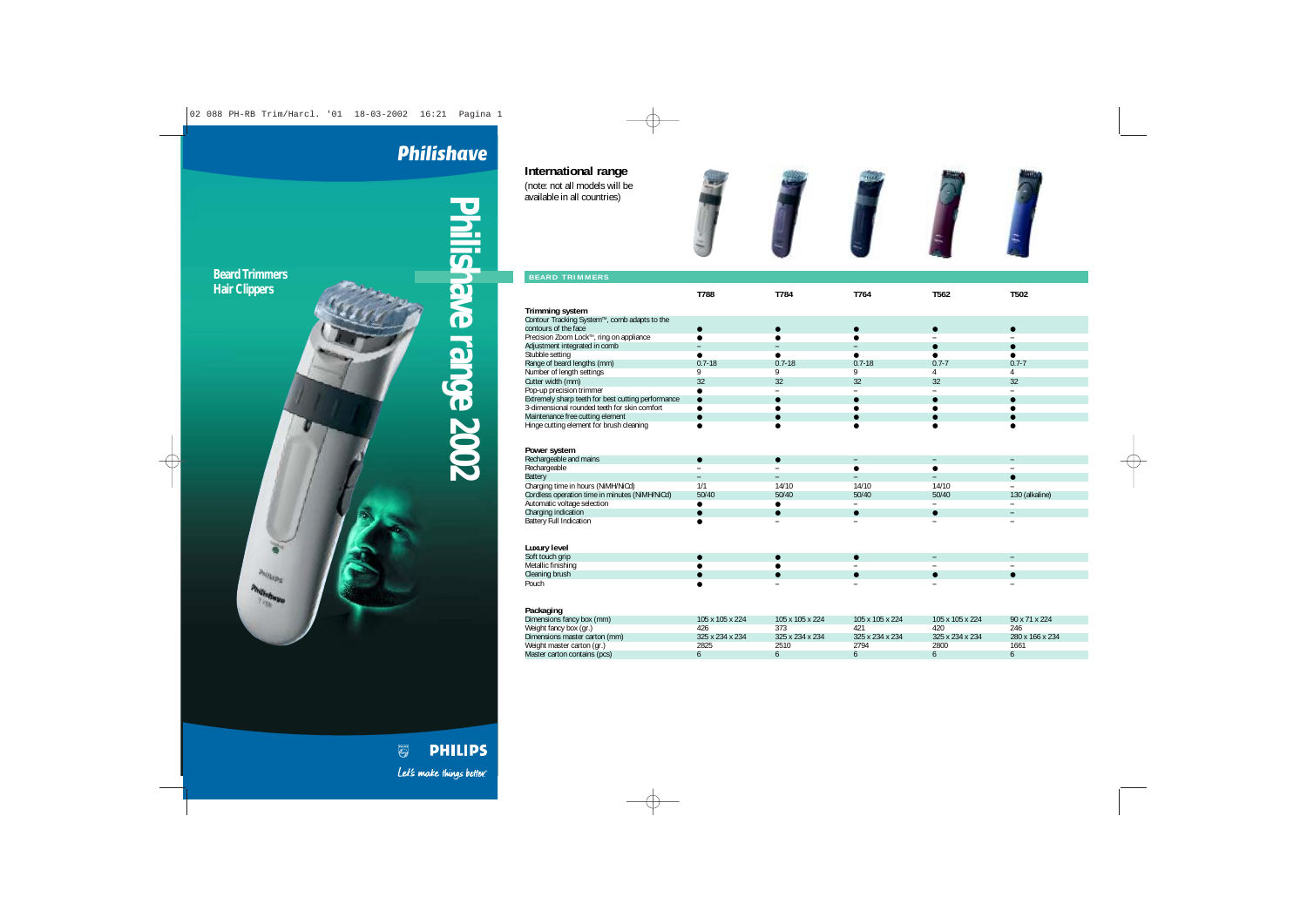## **Philishave**

**International range** (note: not all models will be available in all countries)

**MILIDE** 

**Phair Clippers**<br> **Phair Clippers**<br> **Philishave Read And Analysis Conducts** 



| <b>BEARD TRIMMERS</b>                              |                 |                          |                          |                          |                |
|----------------------------------------------------|-----------------|--------------------------|--------------------------|--------------------------|----------------|
|                                                    | T788            | T784                     | T764                     | T562                     | T502           |
|                                                    |                 |                          |                          |                          |                |
| <b>Trimming system</b>                             |                 |                          |                          |                          |                |
| Contour Tracking System™, comb adapts to the       |                 |                          |                          |                          |                |
| contours of the face                               | $\bullet$       |                          |                          | $\bullet$                | $\bullet$      |
| Precision Zoom Lock™, ring on appliance            | $\bullet$       |                          |                          |                          |                |
| Adjustment integrated in comb                      |                 |                          |                          |                          | $\bullet$      |
| Stubble setting                                    |                 |                          |                          |                          |                |
| Range of beard lengths (mm)                        | $0.7 - 18$      | $0.7 - 18$               | $0.7 - 18$               | $0.7 - 7$                | $0.7 - 7$      |
| Number of length settings                          | 9               | 9                        | 9                        | 4                        | 4              |
| Cutter width (mm)                                  | 32              | 32                       | 32                       | 32                       | 32             |
| Pop-up precision trimmer                           | $\bullet$       | $\overline{\phantom{a}}$ | $\overline{\phantom{a}}$ | $\overline{\phantom{0}}$ | -              |
| Extremely sharp teeth for best cutting performance | $\bullet$       |                          | ●                        |                          | ●              |
| 3-dimensional rounded teeth for skin comfort       |                 |                          |                          |                          |                |
| Maintenance free cutting element                   |                 |                          |                          |                          |                |
| Hinge cutting element for brush cleaning           |                 |                          |                          |                          |                |
|                                                    |                 |                          |                          |                          |                |
|                                                    |                 |                          |                          |                          |                |
| Power system                                       |                 |                          |                          |                          |                |
| Rechargeable and mains                             | $\bullet$       | $\bullet$                |                          | ۰                        |                |
| Rechargeable                                       |                 |                          |                          |                          |                |
| <b>Battery</b>                                     |                 | $\overline{\phantom{0}}$ | -                        | $\overline{\phantom{0}}$ | $\bullet$      |
| Charging time in hours (NiMH/NiCd)                 | 1/1             | 14/10                    | 14/10                    | 14/10                    |                |
| Cordless operation time in minutes (NiMH/NiCd)     | 50/40           | 50/40                    | 50/40                    | 50/40                    | 130 (alkaline) |
| Automatic voltage selection                        | $\bullet$       |                          |                          |                          |                |
| Charging indication                                | $\bullet$       | $\bullet$                | $\bullet$                | $\bullet$                | -              |
| <b>Battery Full Indication</b>                     |                 |                          |                          |                          |                |
|                                                    |                 |                          |                          |                          |                |
|                                                    |                 |                          |                          |                          |                |
| Luxury level                                       |                 |                          |                          |                          |                |
| Soft touch grip                                    | $\bullet$       |                          |                          |                          |                |
| Metallic finishing                                 |                 |                          |                          |                          |                |
| Cleaning brush                                     |                 |                          |                          |                          | ●              |
| Pouch                                              |                 |                          |                          |                          |                |
|                                                    |                 |                          |                          |                          |                |
|                                                    |                 |                          |                          |                          |                |
| Packaging                                          |                 |                          |                          |                          |                |
| Dimensions fancy box (mm)                          | 105 x 105 x 224 | 105 x 105 x 224          | 105 x 105 x 224          | 105 x 105 x 224          | 90 x 71 x 224  |

| Dimensions fancy box (mm)     | 105 x 105 x 224 | 105 x 105 x 224 | 105 x 105 x 224 | 105 x 105 x 224 | 90 x 71 x 224   |
|-------------------------------|-----------------|-----------------|-----------------|-----------------|-----------------|
| Weight fancy box (gr.)        | 426             |                 | 421             | 420             | 246             |
| Dimensions master carton (mm) | 325 x 234 x 234 | 325 x 234 x 234 | 325 x 234 x 234 | 325 x 234 x 234 | 280 x 166 x 234 |
| Weight master carton (gr.)    | 2825            | 2510            | 2794            | 2800            | 1661            |
| Master carton contains (pcs)  |                 |                 |                 |                 |                 |
|                               |                 |                 |                 |                 |                 |

**PHILIPS**  $\begin{picture}(40,40) \put(0,0){\line(1,0){155}} \put(15,0){\line(1,0){155}} \put(15,0){\line(1,0){155}} \put(15,0){\line(1,0){155}} \put(15,0){\line(1,0){155}} \put(15,0){\line(1,0){155}} \put(15,0){\line(1,0){155}} \put(15,0){\line(1,0){155}} \put(15,0){\line(1,0){155}} \put(15,0){\line(1,0){155}} \put(15,0){\line(1,0){155}} \$ Let's make things better.